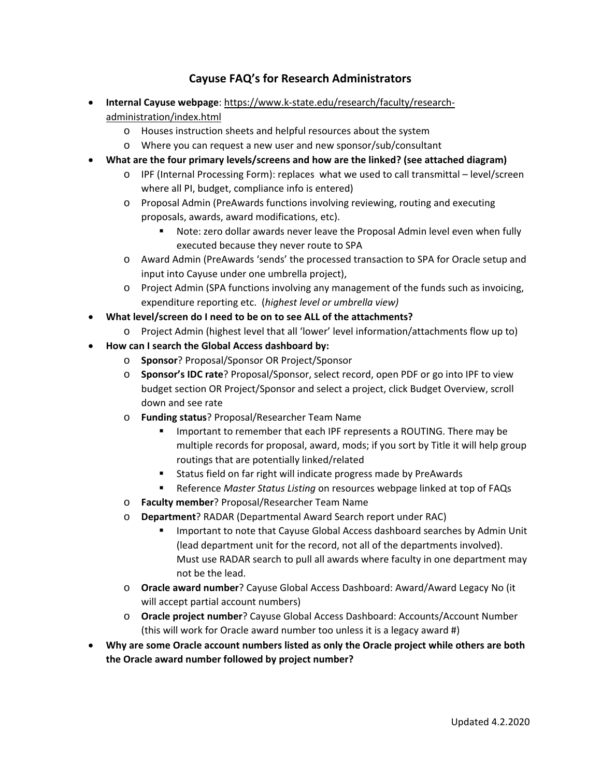## **Cayuse FAQ's for Research Administrators**

- **Internal Cayuse webpage**: https://www.k‐state.edu/research/faculty/research‐ administration/index.html
	- o Houses instruction sheets and helpful resources about the system
	- o Where you can request a new user and new sponsor/sub/consultant
- **What are the four primary levels/screens and how are the linked? (see attached diagram)** 
	- o IPF (Internal Processing Form): replaces what we used to call transmittal level/screen where all PI, budget, compliance info is entered)
	- o Proposal Admin (PreAwards functions involving reviewing, routing and executing proposals, awards, award modifications, etc).
		- Note: zero dollar awards never leave the Proposal Admin level even when fully executed because they never route to SPA
	- o Award Admin (PreAwards 'sends' the processed transaction to SPA for Oracle setup and input into Cayuse under one umbrella project),
	- o Project Admin (SPA functions involving any management of the funds such as invoicing, expenditure reporting etc. (*highest level or umbrella view)*
- **What level/screen do I need to be on to see ALL of the attachments?** 
	- o Project Admin (highest level that all 'lower' level information/attachments flow up to)
- **How can I search the Global Access dashboard by:** 
	- o **Sponsor**? Proposal/Sponsor OR Project/Sponsor
	- o **Sponsor's IDC rate**? Proposal/Sponsor, select record, open PDF or go into IPF to view budget section OR Project/Sponsor and select a project, click Budget Overview, scroll down and see rate
	- o **Funding status**? Proposal/Researcher Team Name
		- **IMPORTANT IS A LOCAL THE VIOLET THAT A LOCAL THE VIOLET IS A LOCAL THAT IS A LOCAL THAT IS A LOCAL THAT IS A LOCAL THAT IS A LOCAL THAT IS A LOCAL THAT IS A LOCAL THAT IS A LOCAL THAT IS A LOCAL THAT IS A LOCAL THAT IS A** multiple records for proposal, award, mods; if you sort by Title it will help group routings that are potentially linked/related
		- **EXT** Status field on far right will indicate progress made by PreAwards
		- Reference *Master Status Listing* on resources webpage linked at top of FAQs
	- o **Faculty member**? Proposal/Researcher Team Name
	- o **Department**? RADAR (Departmental Award Search report under RAC)
		- Important to note that Cayuse Global Access dashboard searches by Admin Unit (lead department unit for the record, not all of the departments involved). Must use RADAR search to pull all awards where faculty in one department may not be the lead.
	- o **Oracle award number**? Cayuse Global Access Dashboard: Award/Award Legacy No (it will accept partial account numbers)
	- o **Oracle project number**? Cayuse Global Access Dashboard: Accounts/Account Number (this will work for Oracle award number too unless it is a legacy award #)
- **Why are some Oracle account numbers listed as only the Oracle project while others are both the Oracle award number followed by project number?**